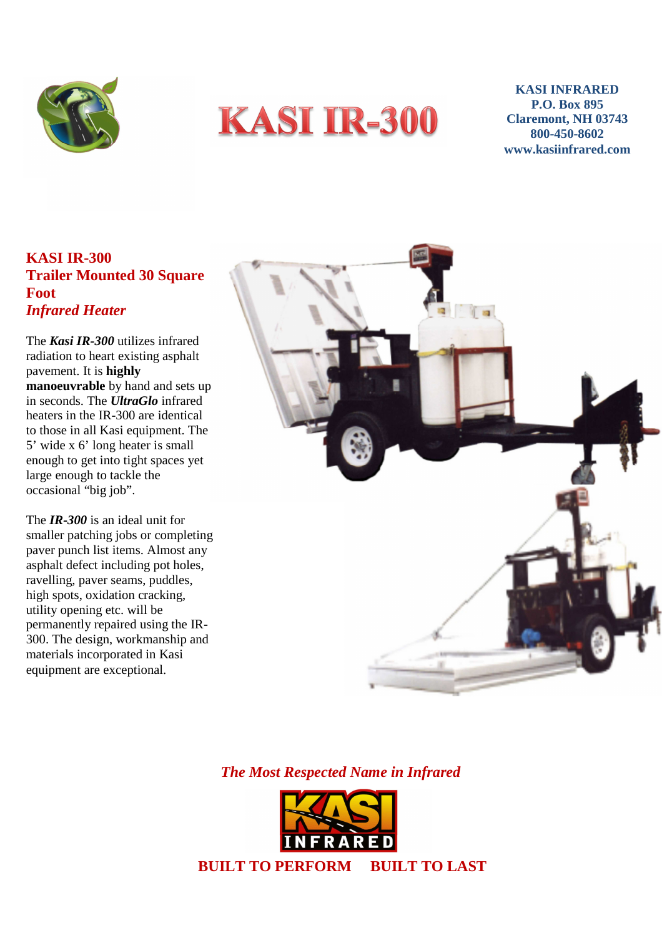



**KASI INFRARED P.O. Box 895 Claremont, NH 03743 800-450-8602 www.kasiinfrared.com** 

## **KASI IR-300 Trailer Mounted 30 Square Foot**  *Infrared Heater*

 pavement. It is **highly** The *Kasi IR-300* utilizes infrared radiation to heart existing asphalt **manoeuvrable** by hand and sets up in seconds. The *UltraGlo* infrared heaters in the IR-300 are identical to those in all Kasi equipment. The 5' wide x 6' long heater is small enough to get into tight spaces yet large enough to tackle the occasional "big job".

The *IR-300* is an ideal unit for smaller patching jobs or completing paver punch list items. Almost any asphalt defect including pot holes, ravelling, paver seams, puddles, high spots, oxidation cracking, utility opening etc. will be permanently repaired using the IR-300. The design, workmanship and materials incorporated in Kasi equipment are exceptional.



*The Most Respected Name in Infrared*